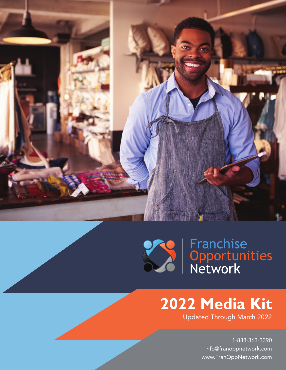



## **2022 Media Kit**

Updated Through March 2022

1-888-363-3390 info@franoppnetwork.com www.FranOppNetwork.com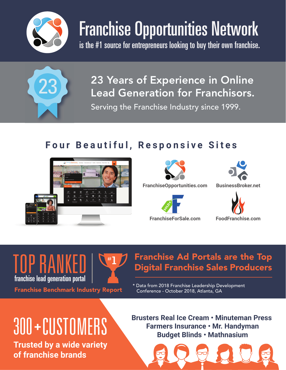

# Franchise Opportunities Network

is the #1 source for entrepreneurs looking to buy their own franchise.



23 Years of Experience in Online Lead Generation for Franchisors. Serving the Franchise Industry since 1999.

### **Four Beautiful, Responsive Sites**





**FranchiseOpportunities.com BusinessBroker.net**







franchise lead generation portal  $\mathbf{1}$ #

# $\text{TOP RAM}\left[\begin{array}{c} \left(\begin{array}{cc} \#1 \end{array}\right) & \text{Franchise Ad Portals are the Top} \end{array}\right]$  Digital Franchise Sales Producers

Franchise Benchmark Industry Report \* Data from 2018 Franchise Leadership Development<br>Conference - October 2018, Atlanta, GA Conference - October 2018, Atlanta, GA

# **+**

**Trusted by a wide variety of franchise brands**

**Brusters Real Ice Cream • Minuteman Press Farmers Real Ice Cream • Minuteman Property Real Line Cream • Minuteman Property Consumers Insurance • Mr. Handyman<br>Budget Blinds • Mathnasium** 

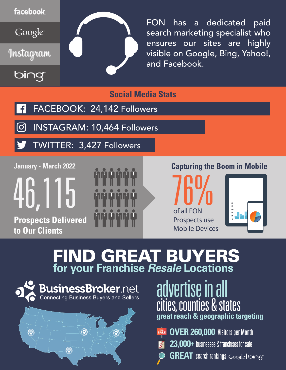

FON has a dedicated paid search marketing specialist who ensures our sites are highly visible on Google, Bing, Yahoo!, and Facebook.

**Social Media Stats**

- FACEBOOK: 24,142 Followers
- INSTAGRAM: 10,464 Followers  $\left[ \text{o} \right]$
- TWITTER: 3,427 Followers

**January - March 2022**

46,115 **Prospects Delivered to Our Clients**



#### **Capturing the Boom in Mobile**





## FIND GREAT BUYERS **for your Franchise** *Resale* **Locations**





advertise in all cities, counties & states **great reach & geographic targeting**

- **FILE OVER 260,000** Visitors per Month
- **23,000+** businesses & franchises for sale
- **GREAT** search rankings Google | bing  $\ddot{\bullet}$